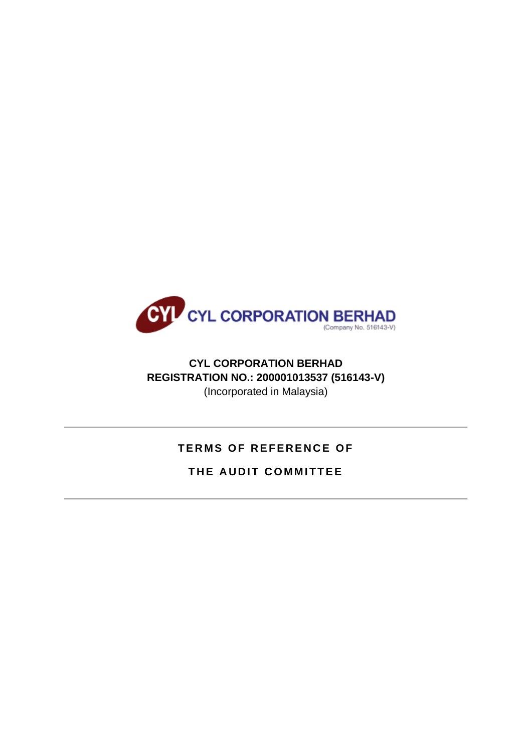

## **CYL CORPORATION BERHAD REGISTRATION NO.: 200001013537 (516143-V)** (Incorporated in Malaysia)

# **TERMS OF REFERENCE OF**

## **THE AUDIT COMMITTEE**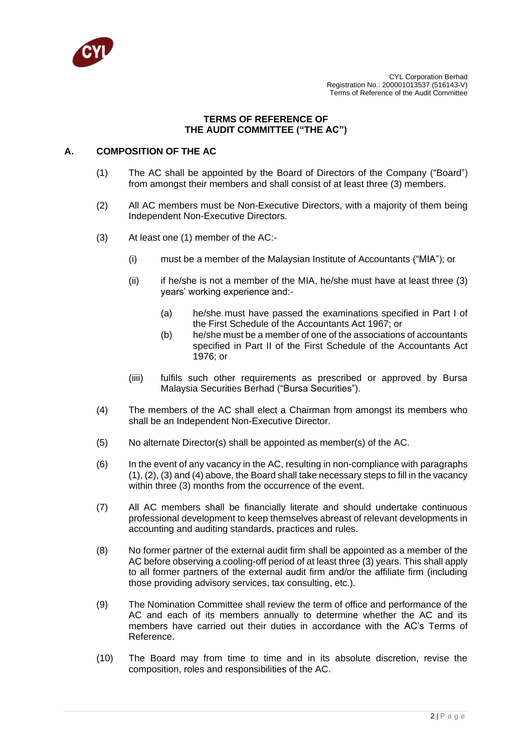

## **TERMS OF REFERENCE OF THE AUDIT COMMITTEE ("THE AC")**

## **A. COMPOSITION OF THE AC**

- (1) The AC shall be appointed by the Board of Directors of the Company ("Board") from amongst their members and shall consist of at least three (3) members.
- (2) All AC members must be Non-Executive Directors, with a majority of them being Independent Non-Executive Directors.
- (3) At least one (1) member of the AC:-
	- (i) must be a member of the Malaysian Institute of Accountants ("MIA"); or
	- $(iii)$  if he/she is not a member of the MIA, he/she must have at least three  $(3)$ years' working experience and:-
		- (a) he/she must have passed the examinations specified in Part I of the First Schedule of the Accountants Act 1967; or
		- (b) he/she must be a member of one of the associations of accountants specified in Part II of the First Schedule of the Accountants Act 1976; or
	- (iiii) fulfils such other requirements as prescribed or approved by Bursa Malaysia Securities Berhad ("Bursa Securities").
- (4) The members of the AC shall elect a Chairman from amongst its members who shall be an Independent Non-Executive Director.
- (5) No alternate Director(s) shall be appointed as member(s) of the AC.
- (6) In the event of any vacancy in the AC, resulting in non-compliance with paragraphs (1), (2), (3) and (4) above, the Board shall take necessary steps to fill in the vacancy within three (3) months from the occurrence of the event.
- (7) All AC members shall be financially literate and should undertake continuous professional development to keep themselves abreast of relevant developments in accounting and auditing standards, practices and rules.
- (8) No former partner of the external audit firm shall be appointed as a member of the AC before observing a cooling-off period of at least three (3) years. This shall apply to all former partners of the external audit firm and/or the affiliate firm (including those providing advisory services, tax consulting, etc.).
- (9) The Nomination Committee shall review the term of office and performance of the AC and each of its members annually to determine whether the AC and its members have carried out their duties in accordance with the AC's Terms of Reference.
- (10) The Board may from time to time and in its absolute discretion, revise the composition, roles and responsibilities of the AC.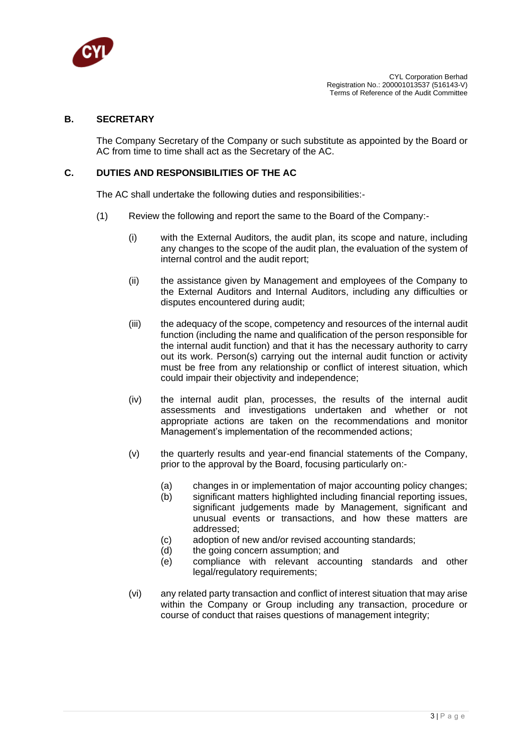

#### **B. SECRETARY**

The Company Secretary of the Company or such substitute as appointed by the Board or AC from time to time shall act as the Secretary of the AC.

#### **C. DUTIES AND RESPONSIBILITIES OF THE AC**

The AC shall undertake the following duties and responsibilities:-

- (1) Review the following and report the same to the Board of the Company:-
	- (i) with the External Auditors, the audit plan, its scope and nature, including any changes to the scope of the audit plan, the evaluation of the system of internal control and the audit report;
	- (ii) the assistance given by Management and employees of the Company to the External Auditors and Internal Auditors, including any difficulties or disputes encountered during audit;
	- (iii) the adequacy of the scope, competency and resources of the internal audit function (including the name and qualification of the person responsible for the internal audit function) and that it has the necessary authority to carry out its work. Person(s) carrying out the internal audit function or activity must be free from any relationship or conflict of interest situation, which could impair their objectivity and independence;
	- (iv) the internal audit plan, processes, the results of the internal audit assessments and investigations undertaken and whether or not appropriate actions are taken on the recommendations and monitor Management's implementation of the recommended actions;
	- (v) the quarterly results and year-end financial statements of the Company, prior to the approval by the Board, focusing particularly on:-
		- (a) changes in or implementation of major accounting policy changes;
		- (b) significant matters highlighted including financial reporting issues, significant judgements made by Management, significant and unusual events or transactions, and how these matters are addressed;
		- (c) adoption of new and/or revised accounting standards;
		- (d) the going concern assumption; and
		- (e) compliance with relevant accounting standards and other legal/regulatory requirements;
	- (vi) any related party transaction and conflict of interest situation that may arise within the Company or Group including any transaction, procedure or course of conduct that raises questions of management integrity;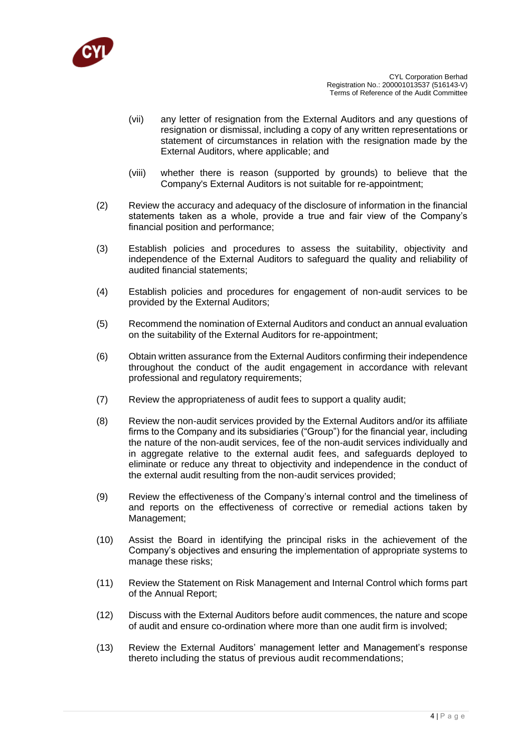

- (vii) any letter of resignation from the External Auditors and any questions of resignation or dismissal, including a copy of any written representations or statement of circumstances in relation with the resignation made by the External Auditors, where applicable; and
- (viii) whether there is reason (supported by grounds) to believe that the Company's External Auditors is not suitable for re-appointment;
- (2) Review the accuracy and adequacy of the disclosure of information in the financial statements taken as a whole, provide a true and fair view of the Company's financial position and performance;
- (3) Establish policies and procedures to assess the suitability, objectivity and independence of the External Auditors to safeguard the quality and reliability of audited financial statements;
- (4) Establish policies and procedures for engagement of non-audit services to be provided by the External Auditors;
- (5) Recommend the nomination of External Auditors and conduct an annual evaluation on the suitability of the External Auditors for re-appointment;
- (6) Obtain written assurance from the External Auditors confirming their independence throughout the conduct of the audit engagement in accordance with relevant professional and regulatory requirements;
- (7) Review the appropriateness of audit fees to support a quality audit;
- (8) Review the non-audit services provided by the External Auditors and/or its affiliate firms to the Company and its subsidiaries ("Group") for the financial year, including the nature of the non-audit services, fee of the non-audit services individually and in aggregate relative to the external audit fees, and safeguards deployed to eliminate or reduce any threat to objectivity and independence in the conduct of the external audit resulting from the non-audit services provided;
- (9) Review the effectiveness of the Company's internal control and the timeliness of and reports on the effectiveness of corrective or remedial actions taken by Management;
- (10) Assist the Board in identifying the principal risks in the achievement of the Company's objectives and ensuring the implementation of appropriate systems to manage these risks;
- (11) Review the Statement on Risk Management and Internal Control which forms part of the Annual Report;
- (12) Discuss with the External Auditors before audit commences, the nature and scope of audit and ensure co-ordination where more than one audit firm is involved;
- (13) Review the External Auditors' management letter and Management's response thereto including the status of previous audit recommendations;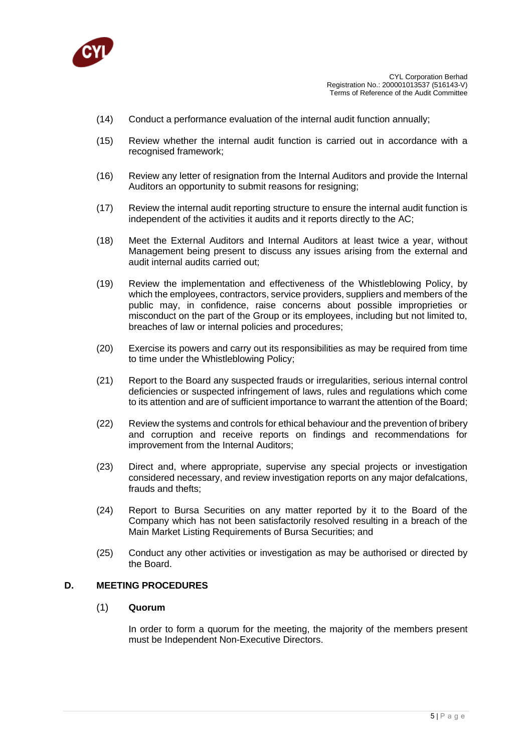

- (14) Conduct a performance evaluation of the internal audit function annually;
- (15) Review whether the internal audit function is carried out in accordance with a recognised framework;
- (16) Review any letter of resignation from the Internal Auditors and provide the Internal Auditors an opportunity to submit reasons for resigning;
- (17) Review the internal audit reporting structure to ensure the internal audit function is independent of the activities it audits and it reports directly to the AC;
- (18) Meet the External Auditors and Internal Auditors at least twice a year, without Management being present to discuss any issues arising from the external and audit internal audits carried out;
- (19) Review the implementation and effectiveness of the Whistleblowing Policy, by which the employees, contractors, service providers, suppliers and members of the public may, in confidence, raise concerns about possible improprieties or misconduct on the part of the Group or its employees, including but not limited to, breaches of law or internal policies and procedures;
- (20) Exercise its powers and carry out its responsibilities as may be required from time to time under the Whistleblowing Policy;
- (21) Report to the Board any suspected frauds or irregularities, serious internal control deficiencies or suspected infringement of laws, rules and regulations which come to its attention and are of sufficient importance to warrant the attention of the Board;
- (22) Review the systems and controls for ethical behaviour and the prevention of bribery and corruption and receive reports on findings and recommendations for improvement from the Internal Auditors;
- (23) Direct and, where appropriate, supervise any special projects or investigation considered necessary, and review investigation reports on any major defalcations, frauds and thefts;
- (24) Report to Bursa Securities on any matter reported by it to the Board of the Company which has not been satisfactorily resolved resulting in a breach of the Main Market Listing Requirements of Bursa Securities; and
- (25) Conduct any other activities or investigation as may be authorised or directed by the Board.

## **D. MEETING PROCEDURES**

#### (1) **Quorum**

In order to form a quorum for the meeting, the majority of the members present must be Independent Non-Executive Directors.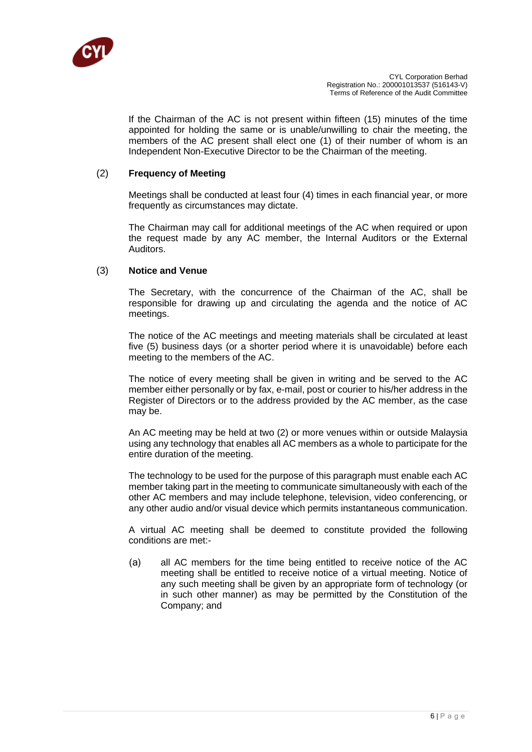

If the Chairman of the AC is not present within fifteen (15) minutes of the time appointed for holding the same or is unable/unwilling to chair the meeting, the members of the AC present shall elect one (1) of their number of whom is an Independent Non-Executive Director to be the Chairman of the meeting.

#### (2) **Frequency of Meeting**

Meetings shall be conducted at least four (4) times in each financial year, or more frequently as circumstances may dictate.

The Chairman may call for additional meetings of the AC when required or upon the request made by any AC member, the Internal Auditors or the External Auditors.

## (3) **Notice and Venue**

The Secretary, with the concurrence of the Chairman of the AC, shall be responsible for drawing up and circulating the agenda and the notice of AC meetings.

The notice of the AC meetings and meeting materials shall be circulated at least five (5) business days (or a shorter period where it is unavoidable) before each meeting to the members of the AC.

The notice of every meeting shall be given in writing and be served to the AC member either personally or by fax, e-mail, post or courier to his/her address in the Register of Directors or to the address provided by the AC member, as the case may be.

An AC meeting may be held at two (2) or more venues within or outside Malaysia using any technology that enables all AC members as a whole to participate for the entire duration of the meeting.

The technology to be used for the purpose of this paragraph must enable each AC member taking part in the meeting to communicate simultaneously with each of the other AC members and may include telephone, television, video conferencing, or any other audio and/or visual device which permits instantaneous communication.

A virtual AC meeting shall be deemed to constitute provided the following conditions are met:-

(a) all AC members for the time being entitled to receive notice of the AC meeting shall be entitled to receive notice of a virtual meeting. Notice of any such meeting shall be given by an appropriate form of technology (or in such other manner) as may be permitted by the Constitution of the Company; and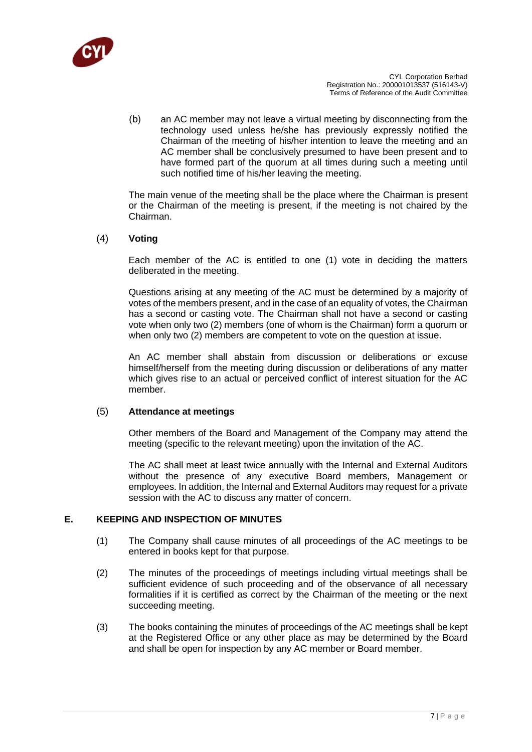

(b) an AC member may not leave a virtual meeting by disconnecting from the technology used unless he/she has previously expressly notified the Chairman of the meeting of his/her intention to leave the meeting and an AC member shall be conclusively presumed to have been present and to have formed part of the quorum at all times during such a meeting until such notified time of his/her leaving the meeting.

The main venue of the meeting shall be the place where the Chairman is present or the Chairman of the meeting is present, if the meeting is not chaired by the Chairman.

#### (4) **Voting**

Each member of the AC is entitled to one (1) vote in deciding the matters deliberated in the meeting.

Questions arising at any meeting of the AC must be determined by a majority of votes of the members present, and in the case of an equality of votes, the Chairman has a second or casting vote. The Chairman shall not have a second or casting vote when only two (2) members (one of whom is the Chairman) form a quorum or when only two (2) members are competent to vote on the question at issue.

An AC member shall abstain from discussion or deliberations or excuse himself/herself from the meeting during discussion or deliberations of any matter which gives rise to an actual or perceived conflict of interest situation for the AC member.

#### (5) **Attendance at meetings**

Other members of the Board and Management of the Company may attend the meeting (specific to the relevant meeting) upon the invitation of the AC.

The AC shall meet at least twice annually with the Internal and External Auditors without the presence of any executive Board members, Management or employees. In addition, the Internal and External Auditors may request for a private session with the AC to discuss any matter of concern.

#### **E. KEEPING AND INSPECTION OF MINUTES**

- (1) The Company shall cause minutes of all proceedings of the AC meetings to be entered in books kept for that purpose.
- (2) The minutes of the proceedings of meetings including virtual meetings shall be sufficient evidence of such proceeding and of the observance of all necessary formalities if it is certified as correct by the Chairman of the meeting or the next succeeding meeting.
- (3) The books containing the minutes of proceedings of the AC meetings shall be kept at the Registered Office or any other place as may be determined by the Board and shall be open for inspection by any AC member or Board member.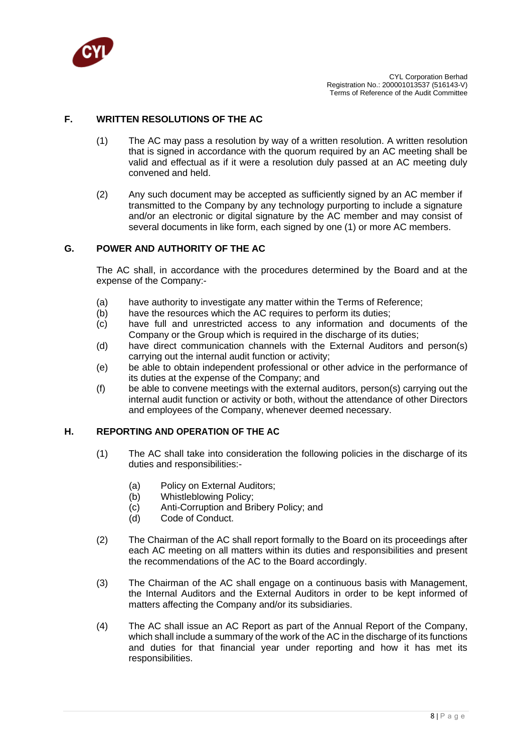

## **F. WRITTEN RESOLUTIONS OF THE AC**

- (1) The AC may pass a resolution by way of a written resolution. A written resolution that is signed in accordance with the quorum required by an AC meeting shall be valid and effectual as if it were a resolution duly passed at an AC meeting duly convened and held.
- (2) Any such document may be accepted as sufficiently signed by an AC member if transmitted to the Company by any technology purporting to include a signature and/or an electronic or digital signature by the AC member and may consist of several documents in like form, each signed by one (1) or more AC members.

#### **G. POWER AND AUTHORITY OF THE AC**

The AC shall, in accordance with the procedures determined by the Board and at the expense of the Company:-

- (a) have authority to investigate any matter within the Terms of Reference;
- (b) have the resources which the AC requires to perform its duties;
- (c) have full and unrestricted access to any information and documents of the Company or the Group which is required in the discharge of its duties;
- (d) have direct communication channels with the External Auditors and person(s) carrying out the internal audit function or activity;
- (e) be able to obtain independent professional or other advice in the performance of its duties at the expense of the Company; and
- (f) be able to convene meetings with the external auditors, person(s) carrying out the internal audit function or activity or both, without the attendance of other Directors and employees of the Company, whenever deemed necessary.

## **H. REPORTING AND OPERATION OF THE AC**

- (1) The AC shall take into consideration the following policies in the discharge of its duties and responsibilities:-
	- (a) Policy on External Auditors;
	- (b) Whistleblowing Policy;
	- (c) Anti-Corruption and Bribery Policy; and
	- (d) Code of Conduct.
- (2) The Chairman of the AC shall report formally to the Board on its proceedings after each AC meeting on all matters within its duties and responsibilities and present the recommendations of the AC to the Board accordingly.
- (3) The Chairman of the AC shall engage on a continuous basis with Management, the Internal Auditors and the External Auditors in order to be kept informed of matters affecting the Company and/or its subsidiaries.
- (4) The AC shall issue an AC Report as part of the Annual Report of the Company, which shall include a summary of the work of the AC in the discharge of its functions and duties for that financial year under reporting and how it has met its responsibilities.